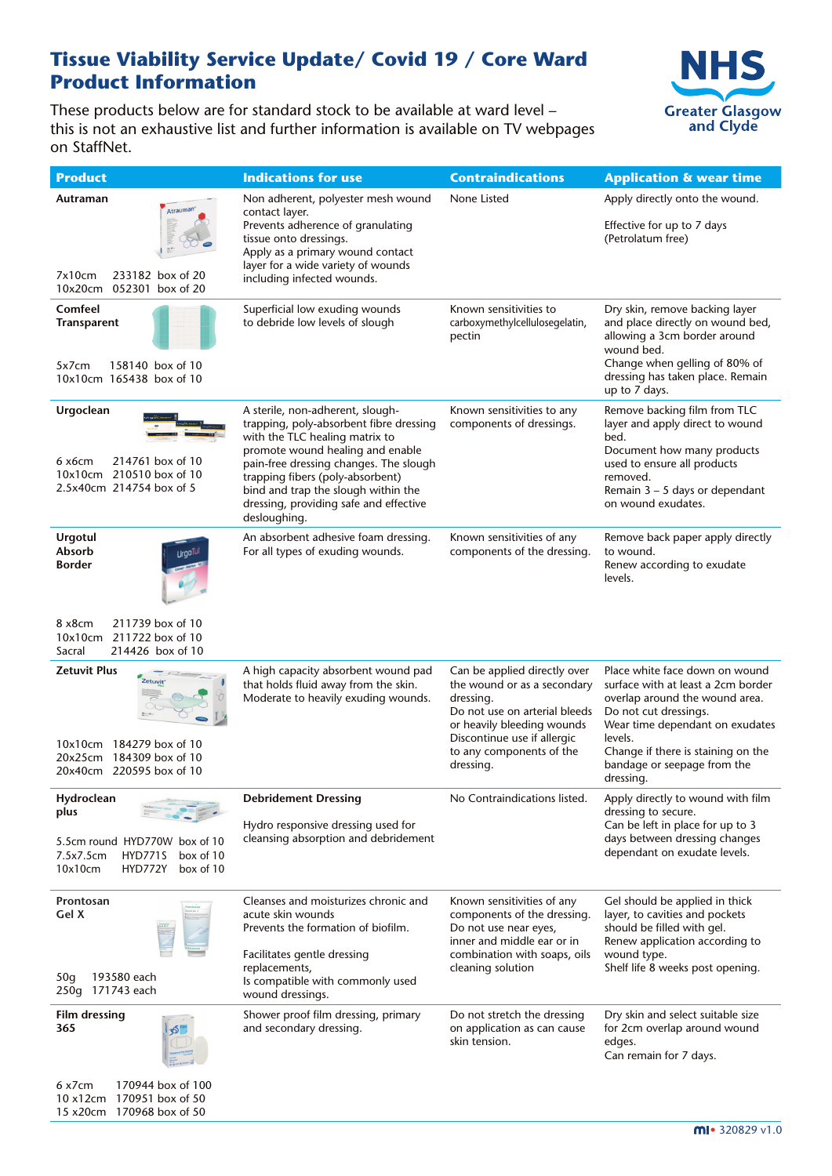#### **Tissue Viability Service Update/ Covid 19 / Core Ward Product Information**

These products below are for standard stock to be available at ward level – this is not an exhaustive list and further information is available on TV webpages on StaffNet.



| <b>Product</b>                                                                                                           | <b>Indications for use</b>                                                                                                                                                                                                                                                                                                       | <b>Contraindications</b>                                                                                                                                                                                        | <b>Application &amp; wear time</b>                                                                                                                                                                                                                              |
|--------------------------------------------------------------------------------------------------------------------------|----------------------------------------------------------------------------------------------------------------------------------------------------------------------------------------------------------------------------------------------------------------------------------------------------------------------------------|-----------------------------------------------------------------------------------------------------------------------------------------------------------------------------------------------------------------|-----------------------------------------------------------------------------------------------------------------------------------------------------------------------------------------------------------------------------------------------------------------|
| Autraman                                                                                                                 |                                                                                                                                                                                                                                                                                                                                  | None Listed                                                                                                                                                                                                     | Apply directly onto the wound.                                                                                                                                                                                                                                  |
| Atrauman <sup>®</sup><br>233182 box of 20<br>7x10cm<br>10x20cm<br>052301 box of 20                                       | Non adherent, polyester mesh wound<br>contact layer.<br>Prevents adherence of granulating<br>tissue onto dressings.<br>Apply as a primary wound contact<br>layer for a wide variety of wounds<br>including infected wounds.                                                                                                      |                                                                                                                                                                                                                 | Effective for up to 7 days<br>(Petrolatum free)                                                                                                                                                                                                                 |
| Comfeel<br>Transparent<br>158140 box of 10<br>5x7cm<br>10x10cm 165438 box of 10                                          | Superficial low exuding wounds<br>to debride low levels of slough                                                                                                                                                                                                                                                                | Known sensitivities to<br>carboxymethylcellulosegelatin,<br>pectin                                                                                                                                              | Dry skin, remove backing layer<br>and place directly on wound bed,<br>allowing a 3cm border around<br>wound bed.<br>Change when gelling of 80% of<br>dressing has taken place. Remain                                                                           |
|                                                                                                                          |                                                                                                                                                                                                                                                                                                                                  |                                                                                                                                                                                                                 | up to 7 days.                                                                                                                                                                                                                                                   |
| Urgoclean<br>214761 box of 10<br>6 x6cm<br>10x10cm 210510 box of 10<br>2.5x40cm 214754 box of 5                          | A sterile, non-adherent, slough-<br>trapping, poly-absorbent fibre dressing<br>with the TLC healing matrix to<br>promote wound healing and enable<br>pain-free dressing changes. The slough<br>trapping fibers (poly-absorbent)<br>bind and trap the slough within the<br>dressing, providing safe and effective<br>desloughing. | Known sensitivities to any<br>components of dressings.                                                                                                                                                          | Remove backing film from TLC<br>layer and apply direct to wound<br>bed.<br>Document how many products<br>used to ensure all products<br>removed.<br>Remain $3 - 5$ days or dependant<br>on wound exudates.                                                      |
| <b>Urgotul</b><br>Absorb<br><b>Border</b>                                                                                | An absorbent adhesive foam dressing.<br>For all types of exuding wounds.                                                                                                                                                                                                                                                         | Known sensitivities of any<br>components of the dressing.                                                                                                                                                       | Remove back paper apply directly<br>to wound.<br>Renew according to exudate<br>levels.                                                                                                                                                                          |
| 211739 box of 10<br>8 x8cm<br>10x10cm 211722 box of 10<br>214426 box of 10<br>Sacral                                     |                                                                                                                                                                                                                                                                                                                                  |                                                                                                                                                                                                                 |                                                                                                                                                                                                                                                                 |
| <b>Zetuvit Plus</b><br>10x10cm 184279 box of 10<br>20x25cm 184309 box of 10<br>20x40cm 220595 box of 10                  | A high capacity absorbent wound pad<br>that holds fluid away from the skin.<br>Moderate to heavily exuding wounds.                                                                                                                                                                                                               | Can be applied directly over<br>the wound or as a secondary<br>dressing.<br>Do not use on arterial bleeds<br>or heavily bleeding wounds<br>Discontinue use if allergic<br>to any components of the<br>dressing. | Place white face down on wound<br>surface with at least a 2cm border<br>overlap around the wound area.<br>Do not cut dressings.<br>Wear time dependant on exudates<br>levels.<br>Change if there is staining on the<br>bandage or seepage from the<br>dressing. |
| Hydroclean<br>plus<br>5.5cm round HYD770W box of 10<br>7.5x7.5cm<br>HYD771S<br>box of 10<br>10x10cm<br>HYD772Y box of 10 | <b>Debridement Dressing</b><br>Hydro responsive dressing used for<br>cleansing absorption and debridement                                                                                                                                                                                                                        | No Contraindications listed.                                                                                                                                                                                    | Apply directly to wound with film<br>dressing to secure.<br>Can be left in place for up to 3<br>days between dressing changes<br>dependant on exudate levels.                                                                                                   |
| Prontosan<br>Gel X<br>193580 each<br>50q<br>250g 171743 each                                                             | Cleanses and moisturizes chronic and<br>acute skin wounds<br>Prevents the formation of biofilm.<br>Facilitates gentle dressing<br>replacements,<br>Is compatible with commonly used<br>wound dressings.                                                                                                                          | Known sensitivities of any<br>components of the dressing.<br>Do not use near eyes,<br>inner and middle ear or in<br>combination with soaps, oils<br>cleaning solution                                           | Gel should be applied in thick<br>layer, to cavities and pockets<br>should be filled with gel.<br>Renew application according to<br>wound type.<br>Shelf life 8 weeks post opening.                                                                             |
| Film dressing<br>365                                                                                                     | Shower proof film dressing, primary<br>and secondary dressing.                                                                                                                                                                                                                                                                   | Do not stretch the dressing<br>on application as can cause<br>skin tension.                                                                                                                                     | Dry skin and select suitable size<br>for 2cm overlap around wound<br>edges.<br>Can remain for 7 days.                                                                                                                                                           |
| 170944 box of 100<br>6 x7cm<br>10 x12cm 170951 box of 50                                                                 |                                                                                                                                                                                                                                                                                                                                  |                                                                                                                                                                                                                 |                                                                                                                                                                                                                                                                 |

15 x20cm 170968 box of 50